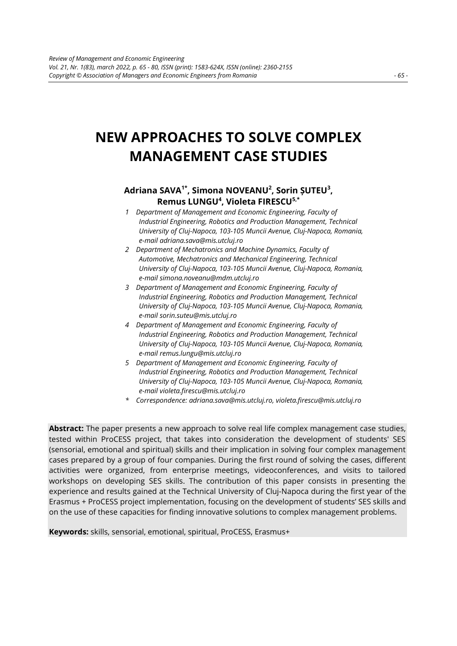# **NEW APPROACHES TO SOLVE COMPLEX MANAGEMENT CASE STUDIES**

# **Adriana SAVA1\* , Simona NOVEANU<sup>2</sup> , Sorin ȘUTEU<sup>3</sup> , Remus LUNGU<sup>4</sup> , Violeta FIRESCU5,\***

- *1 Department of Management and Economic Engineering, Faculty of Industrial Engineering, Robotics and Production Management, Technical University of Cluj-Napoca, 103-105 Muncii Avenue, Cluj-Napoca, Romania, e-mail adriana.sava@mis.utcluj.ro*
- *2 Department of Mechatronics and Machine Dynamics, Faculty of Automotive, Mechatronics and Mechanical Engineering, Technical University of Cluj-Napoca, 103-105 Muncii Avenue, Cluj-Napoca, Romania, e-mail simona.noveanu@mdm.utcluj.ro*
- *3 Department of Management and Economic Engineering, Faculty of Industrial Engineering, Robotics and Production Management, Technical University of Cluj-Napoca, 103-105 Muncii Avenue, Cluj-Napoca, Romania, e-mail sorin.suteu@mis.utcluj.ro*
- *4 Department of Management and Economic Engineering, Faculty of Industrial Engineering, Robotics and Production Management, Technical University of Cluj-Napoca, 103-105 Muncii Avenue, Cluj-Napoca, Romania, e-mail remus.lungu@mis.utcluj.ro*
- *5 Department of Management and Economic Engineering, Faculty of Industrial Engineering, Robotics and Production Management, Technical University of Cluj-Napoca, 103-105 Muncii Avenue, Cluj-Napoca, Romania, e-mail violeta.firescu@mis.utcluj.ro*
- *\* Correspondence: adriana.sava@mis.utcluj.ro, violeta.firescu@mis.utcluj.ro*

**Abstract:** The paper presents a new approach to solve real life complex management case studies, tested within ProCESS project, that takes into consideration the development of students' SES (sensorial, emotional and spiritual) skills and their implication in solving four complex management cases prepared by a group of four companies. During the first round of solving the cases, different activities were organized, from enterprise meetings, videoconferences, and visits to tailored workshops on developing SES skills. The contribution of this paper consists in presenting the experience and results gained at the Technical University of Cluj-Napoca during the first year of the Erasmus + ProCESS project implementation, focusing on the development of students' SES skills and on the use of these capacities for finding innovative solutions to complex management problems.

**Keywords:** skills, sensorial, emotional, spiritual, ProCESS, Erasmus+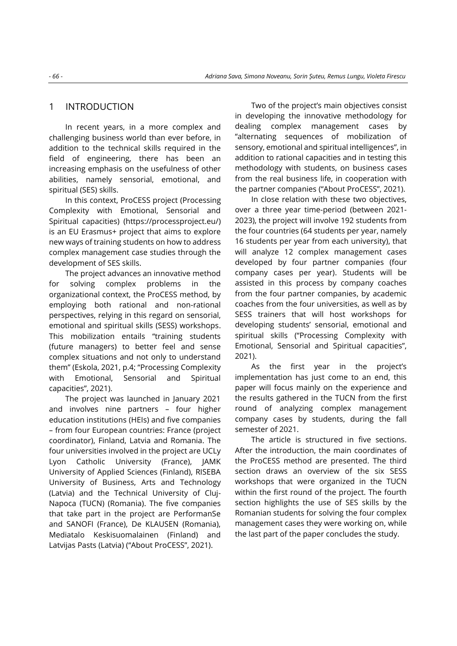# 1 INTRODUCTION

In recent years, in a more complex and challenging business world than ever before, in addition to the technical skills required in the field of engineering, there has been an increasing emphasis on the usefulness of other abilities, namely sensorial, emotional, and spiritual (SES) skills.

In this context, ProCESS project (Processing Complexity with Emotional, Sensorial and Spiritual capacities) (https://processproject.eu/) is an EU Erasmus+ project that aims to explore new ways of training students on how to address complex management case studies through the development of SES skills.

The project advances an innovative method for solving complex problems in the organizational context, the ProCESS method, by employing both rational and non-rational perspectives, relying in this regard on sensorial, emotional and spiritual skills (SESS) workshops. This mobilization entails "training students (future managers) to better feel and sense complex situations and not only to understand them" (Eskola, 2021, p.4; "Processing Complexity with Emotional, Sensorial and Spiritual capacities", 2021).

The project was launched in January 2021 and involves nine partners – four higher education institutions (HEIs) and five companies – from four European countries: France (project coordinator), Finland, Latvia and Romania. The four universities involved in the project are UCLy Lyon Catholic University (France), JAMK University of Applied Sciences (Finland), RISEBA University of Business, Arts and Technology (Latvia) and the Technical University of Cluj-Napoca (TUCN) (Romania). The five companies that take part in the project are PerformanSe and SANOFI (France), De KLAUSEN (Romania), Mediatalo Keskisuomalainen (Finland) and Latvijas Pasts (Latvia) ("About ProCESS", 2021).

Two of the project's main objectives consist in developing the innovative methodology for dealing complex management cases by "alternating sequences of mobilization of sensory, emotional and spiritual intelligences", in addition to rational capacities and in testing this methodology with students, on business cases from the real business life, in cooperation with the partner companies ("About ProCESS", 2021).

In close relation with these two objectives, over a three year time-period (between 2021- 2023), the project will involve 192 students from the four countries (64 students per year, namely 16 students per year from each university), that will analyze 12 complex management cases developed by four partner companies (four company cases per year). Students will be assisted in this process by company coaches from the four partner companies, by academic coaches from the four universities, as well as by SESS trainers that will host workshops for developing students' sensorial, emotional and spiritual skills ("Processing Complexity with Emotional, Sensorial and Spiritual capacities", 2021).

As the first year in the project's implementation has just come to an end, this paper will focus mainly on the experience and the results gathered in the TUCN from the first round of analyzing complex management company cases by students, during the fall semester of 2021.

The article is structured in five sections. After the introduction, the main coordinates of the ProCESS method are presented. The third section draws an overview of the six SESS workshops that were organized in the TUCN within the first round of the project. The fourth section highlights the use of SES skills by the Romanian students for solving the four complex management cases they were working on, while the last part of the paper concludes the study.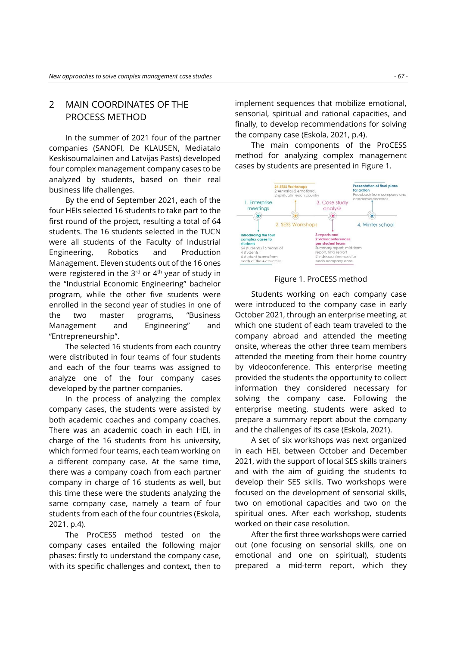# 2 MAIN COORDINATES OF THE PROCESS METHOD

In the summer of 2021 four of the partner companies (SANOFI, De KLAUSEN, Mediatalo Keskisoumalainen and Latvijas Pasts) developed four complex management company cases to be analyzed by students, based on their real business life challenges.

By the end of September 2021, each of the four HEIs selected 16 students to take part to the first round of the project, resulting a total of 64 students. The 16 students selected in the TUCN were all students of the Faculty of Industrial Engineering, Robotics and Production Management. Eleven students out of the 16 ones were registered in the  $3<sup>rd</sup>$  or  $4<sup>th</sup>$  year of study in the "Industrial Economic Engineering" bachelor program, while the other five students were enrolled in the second year of studies in one of the two master programs, "Business Management and Engineering" and "Entrepreneurship".

The selected 16 students from each country were distributed in four teams of four students and each of the four teams was assigned to analyze one of the four company cases developed by the partner companies.

In the process of analyzing the complex company cases, the students were assisted by both academic coaches and company coaches. There was an academic coach in each HEI, in charge of the 16 students from his university, which formed four teams, each team working on a different company case. At the same time, there was a company coach from each partner company in charge of 16 students as well, but this time these were the students analyzing the same company case, namely a team of four students from each of the four countries (Eskola, 2021, p.4).

The ProCESS method tested on the company cases entailed the following major phases: firstly to understand the company case, with its specific challenges and context, then to

implement sequences that mobilize emotional, sensorial, spiritual and rational capacities, and finally, to develop recommendations for solving the company case (Eskola, 2021, p.4).

The main components of the ProCESS method for analyzing complex management cases by students are presented in Figure 1.



#### Figure 1. ProCESS method

Students working on each company case were introduced to the company case in early October 2021, through an enterprise meeting, at which one student of each team traveled to the company abroad and attended the meeting onsite, whereas the other three team members attended the meeting from their home country by videoconference. This enterprise meeting provided the students the opportunity to collect information they considered necessary for solving the company case. Following the enterprise meeting, students were asked to prepare a summary report about the company and the challenges of its case (Eskola, 2021).

A set of six workshops was next organized in each HEI, between October and December 2021, with the support of local SES skills trainers and with the aim of guiding the students to develop their SES skills. Two workshops were focused on the development of sensorial skills, two on emotional capacities and two on the spiritual ones. After each workshop, students worked on their case resolution.

After the first three workshops were carried out (one focusing on sensorial skills, one on emotional and one on spiritual), students prepared a mid-term report, which they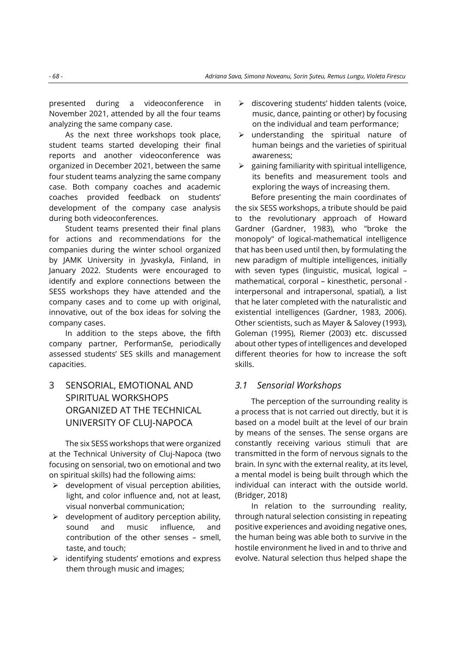presented during a videoconference in November 2021, attended by all the four teams analyzing the same company case.

As the next three workshops took place, student teams started developing their final reports and another videoconference was organized in December 2021, between the same four student teams analyzing the same company case. Both company coaches and academic coaches provided feedback on students' development of the company case analysis during both videoconferences.

Student teams presented their final plans for actions and recommendations for the companies during the winter school organized by JAMK University in Jyvaskyla, Finland, in January 2022. Students were encouraged to identify and explore connections between the SESS workshops they have attended and the company cases and to come up with original, innovative, out of the box ideas for solving the company cases.

In addition to the steps above, the fifth company partner, PerformanSe, periodically assessed students' SES skills and management capacities.

3 SENSORIAL, EMOTIONAL AND SPIRITUAL WORKSHOPS ORGANIZED AT THE TECHNICAL UNIVERSITY OF CLUJ-NAPOCA

The six SESS workshops that were organized at the Technical University of Cluj-Napoca (two focusing on sensorial, two on emotional and two on spiritual skills) had the following aims:

- $\triangleright$  development of visual perception abilities, light, and color influence and, not at least, visual nonverbal communication;
- $\triangleright$  development of auditory perception ability, sound and music influence, and contribution of the other senses – smell, taste, and touch;
- ➢ identifying students' emotions and express them through music and images;
- ➢ discovering students' hidden talents (voice, music, dance, painting or other) by focusing on the individual and team performance;
- ➢ understanding the spiritual nature of human beings and the varieties of spiritual awareness;
- $\triangleright$  gaining familiarity with spiritual intelligence, its benefits and measurement tools and exploring the ways of increasing them.

Before presenting the main coordinates of the six SESS workshops, a tribute should be paid to the revolutionary approach of Howard Gardner (Gardner, 1983), who "broke the monopoly" of logical-mathematical intelligence that has been used until then, by formulating the new paradigm of multiple intelligences, initially with seven types (linguistic, musical, logical – mathematical, corporal – kinesthetic, personal interpersonal and intrapersonal, spatial), a list that he later completed with the naturalistic and existential intelligences (Gardner, 1983, 2006). Other scientists, such as Mayer & Salovey (1993), Goleman (1995), Riemer (2003) etc. discussed about other types of intelligences and developed different theories for how to increase the soft skills.

### *3.1 Sensorial Workshops*

The perception of the surrounding reality is a process that is not carried out directly, but it is based on a model built at the level of our brain by means of the senses. The sense organs are constantly receiving various stimuli that are transmitted in the form of nervous signals to the brain. In sync with the external reality, at its level, a mental model is being built through which the individual can interact with the outside world. (Bridger, 2018)

In relation to the surrounding reality, through natural selection consisting in repeating positive experiences and avoiding negative ones, the human being was able both to survive in the hostile environment he lived in and to thrive and evolve. Natural selection thus helped shape the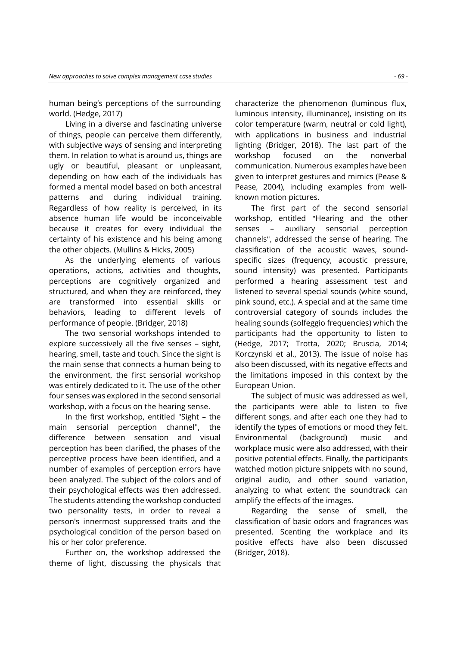human being's perceptions of the surrounding world. (Hedge, 2017)

[Living in a diverse and fascinating universe](https://www.reverso.net/traducere-text#sl=rum&tl=eng&text=Trăind%20într-un%20univers%20divers%20şi%20fascinant%20al%20lucrurilor,%20oamenii%20le%20pot%20percepe%20diferit,%20existând%20moduri%20subiective%20de%20a%20le%20sesiza%20şi%20interpreta.%20În%20relaţie%20cu%20ceea%20ce%20ne%20înconjoa)  [of things, people can perceive them differently,](https://www.reverso.net/traducere-text#sl=rum&tl=eng&text=Trăind%20într-un%20univers%20divers%20şi%20fascinant%20al%20lucrurilor,%20oamenii%20le%20pot%20percepe%20diferit,%20existând%20moduri%20subiective%20de%20a%20le%20sesiza%20şi%20interpreta.%20În%20relaţie%20cu%20ceea%20ce%20ne%20înconjoa)  [with subjective ways of sensing and interpreting](https://www.reverso.net/traducere-text#sl=rum&tl=eng&text=Trăind%20într-un%20univers%20divers%20şi%20fascinant%20al%20lucrurilor,%20oamenii%20le%20pot%20percepe%20diferit,%20existând%20moduri%20subiective%20de%20a%20le%20sesiza%20şi%20interpreta.%20În%20relaţie%20cu%20ceea%20ce%20ne%20înconjoa)  [them.](https://www.reverso.net/traducere-text#sl=rum&tl=eng&text=Trăind%20într-un%20univers%20divers%20şi%20fascinant%20al%20lucrurilor,%20oamenii%20le%20pot%20percepe%20diferit,%20existând%20moduri%20subiective%20de%20a%20le%20sesiza%20şi%20interpreta.%20În%20relaţie%20cu%20ceea%20ce%20ne%20înconjoa) [In relation to what is around us, things are](https://www.reverso.net/traducere-text#sl=rum&tl=eng&text=În%20relaţie%20cu%20ceea%20ce%20ne%20înconjoară,%20lucrurile%20sunt%20urâte%20sau%20frumoase,%20plăcute%20sau%20neplăcute%20în%20funcţie%20de%20modul%20în%20care%20fiecare%20dintre%20noi%20şi-a%20constituit%20un%20model%20mental%20atât%)  [ugly or beautiful, pleasant or unpleasant,](https://www.reverso.net/traducere-text#sl=rum&tl=eng&text=În%20relaţie%20cu%20ceea%20ce%20ne%20înconjoară,%20lucrurile%20sunt%20urâte%20sau%20frumoase,%20plăcute%20sau%20neplăcute%20în%20funcţie%20de%20modul%20în%20care%20fiecare%20dintre%20noi%20şi-a%20constituit%20un%20model%20mental%20atât%) [depending on how each of the individuals has](https://www.reverso.net/traducere-text#sl=rum&tl=eng&text=În%20relaţie%20cu%20ceea%20ce%20ne%20înconjoară,%20lucrurile%20sunt%20urâte%20sau%20frumoase,%20plăcute%20sau%20neplăcute%20în%20funcţie%20de%20modul%20în%20care%20fiecare%20dintre%20noi%20şi-a%20constituit%20un%20model%20mental%20atât%)  [formed a mental model based on both ancestral](https://www.reverso.net/traducere-text#sl=rum&tl=eng&text=În%20relaţie%20cu%20ceea%20ce%20ne%20înconjoară,%20lucrurile%20sunt%20urâte%20sau%20frumoase,%20plăcute%20sau%20neplăcute%20în%20funcţie%20de%20modul%20în%20care%20fiecare%20dintre%20noi%20şi-a%20constituit%20un%20model%20mental%20atât%)  [patterns and during individual training.](https://www.reverso.net/traducere-text#sl=rum&tl=eng&text=În%20relaţie%20cu%20ceea%20ce%20ne%20înconjoară,%20lucrurile%20sunt%20urâte%20sau%20frumoase,%20plăcute%20sau%20neplăcute%20în%20funcţie%20de%20modul%20în%20care%20fiecare%20dintre%20noi%20şi-a%20constituit%20un%20model%20mental%20atât%)  [Regardless of how reality is perceived, in its](https://www.reverso.net/traducere-text#sl=rum&tl=eng&text=În%20relaţie%20cu%20ceea%20ce%20ne%20înconjoară,%20lucrurile%20sunt%20urâte%20sau%20frumoase,%20plăcute%20sau%20neplăcute%20în%20funcţie%20de%20modul%20în%20care%20fiecare%20dintre%20noi%20şi-a%20constituit%20un%20model%20mental%20atât%)  [absence human life would be inconceivable](https://www.reverso.net/traducere-text#sl=rum&tl=eng&text=În%20relaţie%20cu%20ceea%20ce%20ne%20înconjoară,%20lucrurile%20sunt%20urâte%20sau%20frumoase,%20plăcute%20sau%20neplăcute%20în%20funcţie%20de%20modul%20în%20care%20fiecare%20dintre%20noi%20şi-a%20constituit%20un%20model%20mental%20atât%)  [because](https://www.reverso.net/traducere-text#sl=rum&tl=eng&text=În%20relaţie%20cu%20ceea%20ce%20ne%20înconjoară,%20lucrurile%20sunt%20urâte%20sau%20frumoase,%20plăcute%20sau%20neplăcute%20în%20funcţie%20de%20modul%20în%20care%20fiecare%20dintre%20noi%20şi-a%20constituit%20un%20model%20mental%20atât%) it creates for every individual the certainty of his existence and his being among the other objects. (Mullins & Hicks, 2005)

As the underlying elements of various operations, actions, activities and thoughts, perceptions are cognitively organized and structured, and when they are reinforced, they are transformed into essential skills or behaviors, leading to different levels of performance of people. (Bridger, 2018)

The two sensorial workshops intended to explore successively all the five senses – sight, hearing, smell, taste and touch. Since the sight is the main sense that connects a human being to the environment, the first sensorial workshop was entirely dedicated to it. The use of the other four senses was explored in the second sensorial workshop, with a focus on the hearing sense.

In the first workshop, entitled "Sight – the main sensorial perception channel", the difference between sensation and visual perception has been clarified, the phases of the perceptive process have been identified, and a number of examples of perception errors have been analyzed. The subject of the colors and of their psychological effects was then addressed. The students attending the workshop conducted two personality tests, in order to reveal a person's innermost suppressed traits and the psychological condition of the person based on his or her color preference.

Further on, the workshop addressed the theme of light, discussing the physicals that characterize the phenomenon (luminous flux, luminous intensity, illuminance), insisting on its color temperature (warm, neutral or cold light), with applications in business and industrial lighting (Bridger, 2018). The last part of the workshop focused on the nonverbal communication. Numerous examples have been given to interpret gestures and mimics (Pease & Pease, 2004), including examples from wellknown motion pictures.

The first part of the second sensorial workshop, entitled "Hearing and the other senses – auxiliary sensorial perception channels", addressed the sense of hearing. The classification of the acoustic waves, soundspecific sizes (frequency, acoustic pressure, sound intensity) was presented. Participants performed a hearing assessment test and listened to several special sounds (white sound, pink sound, etc.). A special and at the same time controversial category of sounds includes the healing sounds (solfeggio frequencies) which the participants had the opportunity to listen to (Hedge, 2017; Trotta, 2020; Bruscia, 2014; Korczynski et al., 2013). The issue of noise has also been discussed, with its negative effects and the limitations imposed in this context by the European Union.

The subject of music was addressed as well, the participants were able to listen to five different songs, and after each one they had to identify the types of emotions or mood they felt. Environmental (background) music and workplace music were also addressed, with their positive potential effects. Finally, the participants watched motion picture snippets with no sound, original audio, and other sound variation, analyzing to what extent the soundtrack can amplify the effects of the images.

Regarding the sense of smell, the classification of basic odors and fragrances was presented. Scenting the workplace and its positive effects have also been discussed (Bridger, 2018).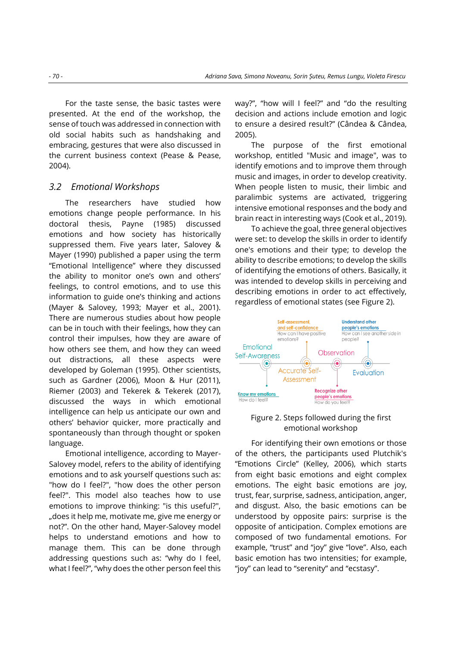For the taste sense, the basic tastes were presented. At the end of the workshop, the sense of touch was addressed in connection with old social habits such as handshaking and embracing, gestures that were also discussed in the current business context (Pease & Pease, 2004).

### *3.2 Emotional Workshops*

The researchers have studied how emotions change people performance. In his doctoral thesis, Payne (1985) discussed emotions and how society has historically suppressed them. Five years later, Salovey & Mayer (1990) published a paper using the term "Emotional Intelligence" where they discussed the ability to monitor one's own and others' feelings, to control emotions, and to use this information to guide one's thinking and actions (Mayer & Salovey, 1993; Mayer et al., 2001). There are numerous studies about how people can be in touch with their feelings, how they can control their impulses, how they are aware of how others see them, and how they can weed out distractions, all these aspects were developed by Goleman (1995). Other scientists, such as Gardner (2006), Moon & Hur (2011), Riemer (2003) and Tekerek & Tekerek (2017), discussed the ways in which emotional intelligence can help us anticipate our own and others' behavior quicker, more practically and spontaneously than through thought or spoken language.

Emotional intelligence, according to Mayer-Salovey model, refers to the ability of identifying emotions and to ask yourself questions such as: "how do I feel?", "how does the other person feel?". This model also teaches how to use emotions to improve thinking: "is this useful?", "does it help me, motivate me, give me energy or not?". On the other hand, Mayer-Salovey model helps to understand emotions and how to manage them. This can be done through addressing questions such as: "why do I feel, what I feel?", "why does the other person feel this

way?", "how will I feel?" and "do the resulting decision and actions include emotion and logic to ensure a desired result?" (Cândea & Cândea, 2005).

The purpose of the first emotional workshop, entitled "Music and image", was to identify emotions and to improve them through music and images, in order to develop creativity. When people listen to music, their limbic and paralimbic systems are activated, triggering intensive emotional responses and the body and brain react in interesting ways (Cook et al., 2019).

To achieve the goal, three general objectives were set: to develop the skills in order to identify one's emotions and their type; to develop the ability to describe emotions; to develop the skills of identifying the emotions of others. Basically, it was intended to develop skills in perceiving and describing emotions in order to act effectively, regardless of emotional states (see Figure 2).



#### Figure 2. Steps followed during the first emotional workshop

For identifying their own emotions or those of the others, the participants used Plutchik's "Emotions Circle" (Kelley, 2006), which starts from eight basic emotions and eight complex emotions. The eight basic emotions are joy, trust, fear, surprise, sadness, anticipation, anger, and disgust. Also, the basic emotions can be understood by opposite pairs: surprise is the opposite of anticipation. Complex emotions are composed of two fundamental emotions. For example, "trust" and "joy" give "love". Also, each basic emotion has two intensities; for example, "joy" can lead to "serenity" and "ecstasy".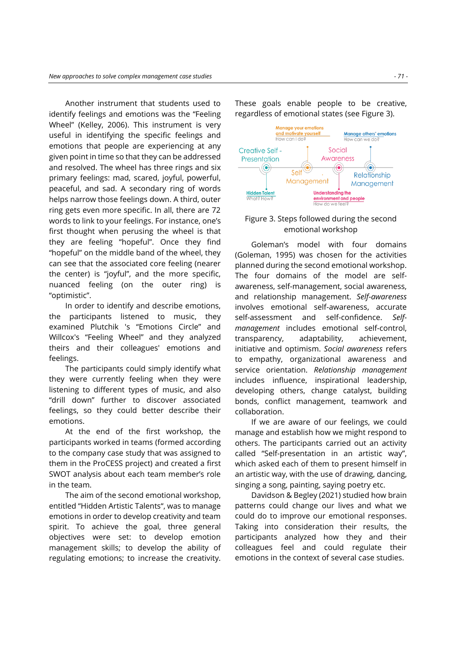Another instrument that students used to identify feelings and emotions was the "Feeling Wheel" (Kelley, 2006). This instrument is very useful in identifying the specific feelings and emotions that people are experiencing at any given point in time so that they can be addressed and resolved. The wheel has three rings and six primary feelings: mad, scared, joyful, powerful, peaceful, and sad. A secondary ring of words helps narrow those feelings down. A third, outer ring gets even more specific. In all, there are 72 words to link to your feelings. For instance, one's first thought when perusing the wheel is that they are feeling "hopeful". Once they find "hopeful" on the middle band of the wheel, they can see that the associated core feeling (nearer the center) is "joyful", and the more specific, nuanced feeling (on the outer ring) is "optimistic".

In order to identify and describe emotions, the participants listened to music, they examined Plutchik 's "Emotions Circle" and Willcox's "Feeling Wheel" and they analyzed theirs and their colleagues' emotions and feelings.

The participants could simply identify what they were currently feeling when they were listening to different types of music, and also "drill down" further to discover associated feelings, so they could better describe their emotions.

At the end of the first workshop, the participants worked in teams (formed according to the company case study that was assigned to them in the ProCESS project) and created a first SWOT analysis about each team member's role in the team.

The aim of the second emotional workshop, entitled "Hidden Artistic Talents", was to manage emotions in order to develop creativity and team spirit. To achieve the goal, three general objectives were set: to develop emotion management skills; to develop the ability of regulating emotions; to increase the creativity.

These goals enable people to be creative, regardless of emotional states (see Figure 3).



#### Figure 3. Steps followed during the second emotional workshop

Goleman's model with four domains (Goleman, 1995) was chosen for the activities planned during the second emotional workshop. The four domains of the model are selfawareness, self-management, social awareness, and relationship management. *Self-awareness* involves emotional self-awareness, accurate self-assessment and self-confidence. *Selfmanagement* includes emotional self-control, transparency, adaptability, achievement, initiative and optimism. *Social awareness* refers to empathy, organizational awareness and service orientation. *Relationship management* includes influence, inspirational leadership, developing others, change catalyst, building bonds, conflict management, teamwork and collaboration.

If we are aware of our feelings, we could manage and establish how we might respond to others. The participants carried out an activity called "Self-presentation in an artistic way", which asked each of them to present himself in an artistic way, with the use of drawing, dancing, singing a song, painting, saying poetry etc.

Davidson & Begley (2021) studied how brain patterns could change our lives and what we could do to improve our emotional responses. Taking into consideration their results, the participants analyzed how they and their colleagues feel and could regulate their emotions in the context of several case studies.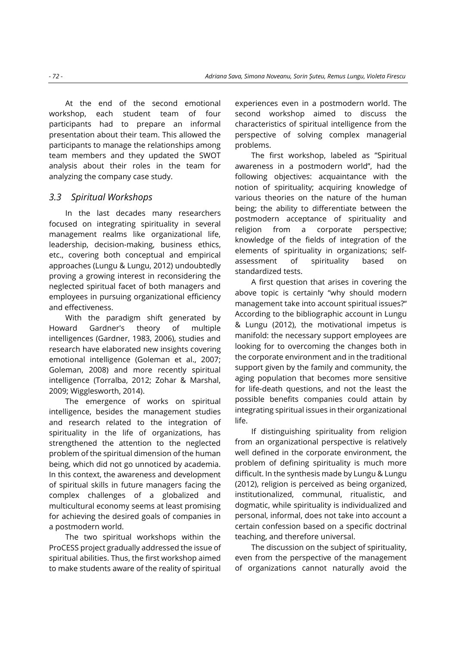At the end of the second emotional workshop, each student team of four participants had to prepare an informal presentation about their team. This allowed the participants to manage the relationships among team members and they updated the SWOT analysis about their roles in the team for analyzing the company case study.

## *3.3 Spiritual Workshops*

In the last decades many researchers focused on integrating spirituality in several management realms like organizational life, leadership, decision-making, business ethics, etc., covering both conceptual and empirical approaches (Lungu & Lungu, 2012) undoubtedly proving a growing interest in reconsidering the neglected spiritual facet of both managers and employees in pursuing organizational efficiency and effectiveness.

With the paradigm shift generated by Howard Gardner's theory of multiple intelligences (Gardner, 1983, 2006), studies and research have elaborated new insights covering emotional intelligence (Goleman et al., 2007; Goleman, 2008) and more recently spiritual intelligence (Torralba, 2012; Zohar & Marshal, 2009; Wigglesworth, 2014).

The emergence of works on spiritual intelligence, besides the management studies and research related to the integration of spirituality in the life of organizations, has strengthened the attention to the neglected problem of the spiritual dimension of the human being, which did not go unnoticed by academia. In this context, the awareness and development of spiritual skills in future managers facing the complex challenges of a globalized and multicultural economy seems at least promising for achieving the desired goals of companies in a postmodern world.

The two spiritual workshops within the ProCESS project gradually addressed the issue of spiritual abilities. Thus, the first workshop aimed to make students aware of the reality of spiritual experiences even in a postmodern world. The second workshop aimed to discuss the characteristics of spiritual intelligence from the perspective of solving complex managerial problems.

The first workshop, labeled as "Spiritual awareness in a postmodern world", had the following objectives: acquaintance with the notion of spirituality; acquiring knowledge of various theories on the nature of the human being; the ability to differentiate between the postmodern acceptance of spirituality and religion from a corporate perspective; knowledge of the fields of integration of the elements of spirituality in organizations; selfassessment of spirituality based on standardized tests.

A first question that arises in covering the above topic is certainly "why should modern management take into account spiritual issues?" According to the bibliographic account in Lungu & Lungu (2012), the motivational impetus is manifold: the necessary support employees are looking for to overcoming the changes both in the corporate environment and in the traditional support given by the family and community, the aging population that becomes more sensitive for life-death questions, and not the least the possible benefits companies could attain by integrating spiritual issues in their organizational life.

If distinguishing spirituality from religion from an organizational perspective is relatively well defined in the corporate environment, the problem of defining spirituality is much more difficult. In the synthesis made by Lungu & Lungu (2012), religion is perceived as being organized, institutionalized, communal, ritualistic, and dogmatic, while spirituality is individualized and personal, informal, does not take into account a certain confession based on a specific doctrinal teaching, and therefore universal.

The discussion on the subject of spirituality, even from the perspective of the management of organizations cannot naturally avoid the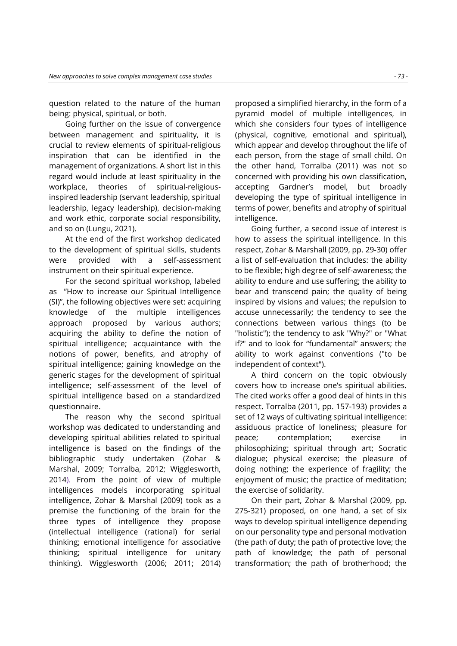question related to the nature of the human being: physical, spiritual, or both.

Going further on the issue of convergence between management and spirituality, it is crucial to review elements of spiritual-religious inspiration that can be identified in the management of organizations. A short list in this regard would include at least spirituality in the workplace, theories of spiritual-religiousinspired leadership (servant leadership, spiritual leadership, legacy leadership), decision-making and work ethic, corporate social responsibility, and so on (Lungu, 2021).

At the end of the first workshop dedicated to the development of spiritual skills, students were provided with a self-assessment instrument on their spiritual experience.

For the second spiritual workshop, labeled as "How to increase our Spiritual Intelligence (SI)", the following objectives were set: acquiring knowledge of the multiple intelligences approach proposed by various authors; acquiring the ability to define the notion of spiritual intelligence; acquaintance with the notions of power, benefits, and atrophy of spiritual intelligence; gaining knowledge on the generic stages for the development of spiritual intelligence; self-assessment of the level of spiritual intelligence based on a standardized questionnaire.

The reason why the second spiritual workshop was dedicated to understanding and developing spiritual abilities related to spiritual intelligence is based on the findings of the bibliographic study undertaken (Zohar & Marshal, 2009; Torralba, 2012; Wigglesworth, 2014). From the point of view of multiple intelligences models incorporating spiritual intelligence, Zohar & Marshal (2009) took as a premise the functioning of the brain for the three types of intelligence they propose (intellectual intelligence (rational) for serial thinking; emotional intelligence for associative thinking; spiritual intelligence for unitary thinking). Wigglesworth (2006; 2011; 2014) proposed a simplified hierarchy, in the form of a pyramid model of multiple intelligences, in which she considers four types of intelligence (physical, cognitive, emotional and spiritual), which appear and develop throughout the life of each person, from the stage of small child. On the other hand, Torralba (2011) was not so concerned with providing his own classification, accepting Gardner's model, but broadly developing the type of spiritual intelligence in terms of power, benefits and atrophy of spiritual intelligence.

Going further, a second issue of interest is how to assess the spiritual intelligence. In this respect, Zohar & Marshall (2009, pp. 29-30) offer a list of self-evaluation that includes: the ability to be flexible; high degree of self-awareness; the ability to endure and use suffering; the ability to bear and transcend pain; the quality of being inspired by visions and values; the repulsion to accuse unnecessarily; the tendency to see the connections between various things (to be "holistic"); the tendency to ask "Why?" or "What if?" and to look for "fundamental" answers; the ability to work against conventions ("to be independent of context").

A third concern on the topic obviously covers how to increase one's spiritual abilities. The cited works offer a good deal of hints in this respect. Torralba (2011, pp. 157-193) provides a set of 12 ways of cultivating spiritual intelligence: assiduous practice of loneliness; pleasure for peace; contemplation; exercise in philosophizing; spiritual through art; Socratic dialogue; physical exercise; the pleasure of doing nothing; the experience of fragility; the enjoyment of music; the practice of meditation; the exercise of solidarity.

On their part, Zohar & Marshal (2009, pp. 275-321) proposed, on one hand, a set of six ways to develop spiritual intelligence depending on our personality type and personal motivation (the path of duty; the path of protective love; the path of knowledge; the path of personal transformation; the path of brotherhood; the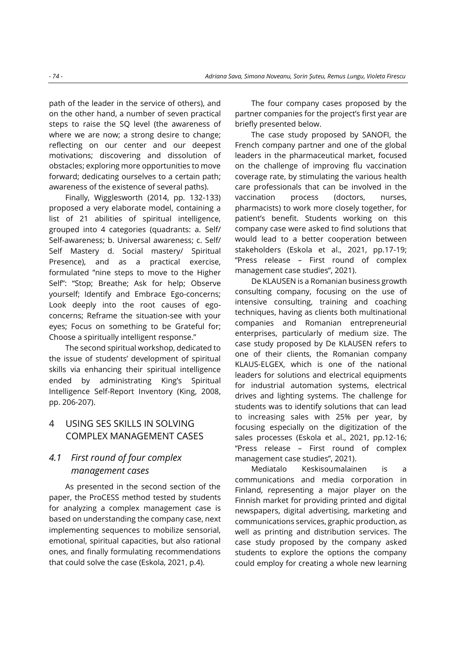path of the leader in the service of others), and on the other hand, a number of seven practical steps to raise the SQ level (the awareness of where we are now; a strong desire to change; reflecting on our center and our deepest motivations; discovering and dissolution of obstacles; exploring more opportunities to move forward; dedicating ourselves to a certain path; awareness of the existence of several paths).

Finally, Wigglesworth (2014, pp. 132-133) proposed a very elaborate model, containing a list of 21 abilities of spiritual intelligence, grouped into 4 categories (quadrants: a. Self/ Self-awareness; b. Universal awareness; c. Self/ Self Mastery d. Social mastery/ Spiritual Presence), and as a practical exercise, formulated "nine steps to move to the Higher Self": "Stop; Breathe; Ask for help; Observe yourself; Identify and Embrace Ego-concerns; Look deeply into the root causes of egoconcerns; Reframe the situation-see with your eyes; Focus on something to be Grateful for; Choose a spiritually intelligent response."

The second spiritual workshop, dedicated to the issue of students' development of spiritual skills via enhancing their spiritual intelligence ended by administrating King's Spiritual Intelligence Self-Report Inventory (King, 2008, pp. 206-207).

# 4 USING SES SKILLS IN SOLVING COMPLEX MANAGEMENT CASES

# *4.1 First round of four complex management cases*

As presented in the second section of the paper, the ProCESS method tested by students for analyzing a complex management case is based on understanding the company case, next implementing sequences to mobilize sensorial, emotional, spiritual capacities, but also rational ones, and finally formulating recommendations that could solve the case (Eskola, 2021, p.4).

The four company cases proposed by the partner companies for the project's first year are briefly presented below.

The case study proposed by SANOFI, the French company partner and one of the global leaders in the pharmaceutical market, focused on the challenge of improving flu vaccination coverage rate, by stimulating the various health care professionals that can be involved in the vaccination process (doctors, nurses, pharmacists) to work more closely together, for patient's benefit. Students working on this company case were asked to find solutions that would lead to a better cooperation between stakeholders (Eskola et al., 2021, pp.17-19; "Press release – First round of complex management case studies", 2021).

De KLAUSEN is a Romanian business growth consulting company, focusing on the use of intensive consulting, training and coaching techniques, having as clients both multinational companies and Romanian entrepreneurial enterprises, particularly of medium size. The case study proposed by De KLAUSEN refers to one of their clients, the Romanian company KLAUS-ELGEX, which is one of the national leaders for solutions and electrical equipments for industrial automation systems, electrical drives and lighting systems. The challenge for students was to identify solutions that can lead to increasing sales with 25% per year, by focusing especially on the digitization of the sales processes (Eskola et al., 2021, pp.12-16; "Press release – First round of complex management case studies", 2021).

Mediatalo Keskisoumalainen is a communications and media corporation in Finland, representing a major player on the Finnish market for providing printed and digital newspapers, digital advertising, marketing and communications services, graphic production, as well as printing and distribution services. The case study proposed by the company asked students to explore the options the company could employ for creating a whole new learning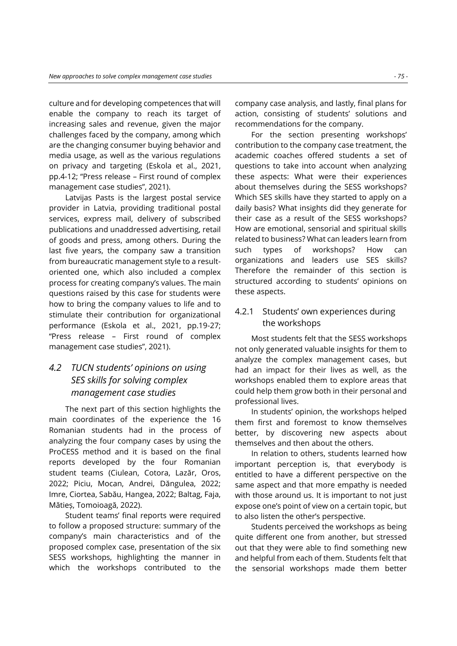culture and for developing competences that will enable the company to reach its target of increasing sales and revenue, given the major challenges faced by the company, among which are the changing consumer buying behavior and media usage, as well as the various regulations on privacy and targeting (Eskola et al., 2021, pp.4-12; "Press release – First round of complex management case studies", 2021).

Latvijas Pasts is the largest postal service provider in Latvia, providing traditional postal services, express mail, delivery of subscribed publications and unaddressed advertising, retail of goods and press, among others. During the last five years, the company saw a transition from bureaucratic management style to a resultoriented one, which also included a complex process for creating company's values. The main questions raised by this case for students were how to bring the company values to life and to stimulate their contribution for organizational performance (Eskola et al., 2021, pp.19-27; "Press release – First round of complex management case studies", 2021).

# *4.2 TUCN students' opinions on using SES skills for solving complex management case studies*

The next part of this section highlights the main coordinates of the experience the 16 Romanian students had in the process of analyzing the four company cases by using the ProCESS method and it is based on the final reports developed by the four Romanian student teams (Ciulean, Cotora, Lazăr, Oros, 2022; Piciu, Mocan, Andrei, Dăngulea, 2022; Imre, Ciortea, Sabău, Hangea, 2022; Baltag, Faja, Mătieș, Tomoioagă, 2022).

Student teams' final reports were required to follow a proposed structure: summary of the company's main characteristics and of the proposed complex case, presentation of the six SESS workshops, highlighting the manner in which the workshops contributed to the company case analysis, and lastly, final plans for action, consisting of students' solutions and recommendations for the company.

For the section presenting workshops' contribution to the company case treatment, the academic coaches offered students a set of questions to take into account when analyzing these aspects: What were their experiences about themselves during the SESS workshops? Which SES skills have they started to apply on a daily basis? What insights did they generate for their case as a result of the SESS workshops? How are emotional, sensorial and spiritual skills related to business? What can leaders learn from such types of workshops? How can organizations and leaders use SES skills? Therefore the remainder of this section is structured according to students' opinions on these aspects.

### 4.2.1 Students' own experiences during the workshops

Most students felt that the SESS workshops not only generated valuable insights for them to analyze the complex management cases, but had an impact for their lives as well, as the workshops enabled them to explore areas that could help them grow both in their personal and professional lives.

In students' opinion, the workshops helped them first and foremost to know themselves better, by discovering new aspects about themselves and then about the others.

In relation to others, students learned how important perception is, that everybody is entitled to have a different perspective on the same aspect and that more empathy is needed with those around us. It is important to not just expose one's point of view on a certain topic, but to also listen the other's perspective.

Students perceived the workshops as being quite different one from another, but stressed out that they were able to find something new and helpful from each of them. Students felt that the sensorial workshops made them better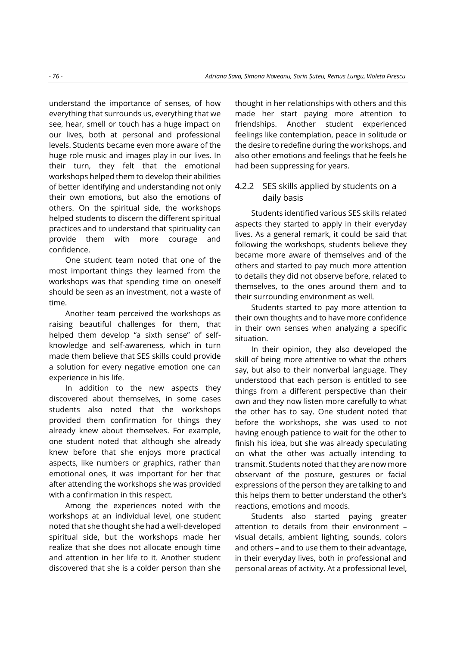understand the importance of senses, of how everything that surrounds us, everything that we see, hear, smell or touch has a huge impact on our lives, both at personal and professional levels. Students became even more aware of the huge role music and images play in our lives. In their turn, they felt that the emotional workshops helped them to develop their abilities of better identifying and understanding not only their own emotions, but also the emotions of others. On the spiritual side, the workshops helped students to discern the different spiritual practices and to understand that spirituality can provide them with more courage and confidence.

One student team noted that one of the most important things they learned from the workshops was that spending time on oneself should be seen as an investment, not a waste of time.

Another team perceived the workshops as raising beautiful challenges for them, that helped them develop "a sixth sense" of selfknowledge and self-awareness, which in turn made them believe that SES skills could provide a solution for every negative emotion one can experience in his life.

In addition to the new aspects they discovered about themselves, in some cases students also noted that the workshops provided them confirmation for things they already knew about themselves. For example, one student noted that although she already knew before that she enjoys more practical aspects, like numbers or graphics, rather than emotional ones, it was important for her that after attending the workshops she was provided with a confirmation in this respect.

Among the experiences noted with the workshops at an individual level, one student noted that she thought she had a well-developed spiritual side, but the workshops made her realize that she does not allocate enough time and attention in her life to it. Another student discovered that she is a colder person than she

thought in her relationships with others and this made her start paying more attention to friendships. Another student experienced feelings like contemplation, peace in solitude or the desire to redefine during the workshops, and also other emotions and feelings that he feels he had been suppressing for years.

### 4.2.2 SES skills applied by students on a daily basis

Students identified various SES skills related aspects they started to apply in their everyday lives. As a general remark, it could be said that following the workshops, students believe they became more aware of themselves and of the others and started to pay much more attention to details they did not observe before, related to themselves, to the ones around them and to their surrounding environment as well.

Students started to pay more attention to their own thoughts and to have more confidence in their own senses when analyzing a specific situation.

In their opinion, they also developed the skill of being more attentive to what the others say, but also to their nonverbal language. They understood that each person is entitled to see things from a different perspective than their own and they now listen more carefully to what the other has to say. One student noted that before the workshops, she was used to not having enough patience to wait for the other to finish his idea, but she was already speculating on what the other was actually intending to transmit. Students noted that they are now more observant of the posture, gestures or facial expressions of the person they are talking to and this helps them to better understand the other's reactions, emotions and moods.

Students also started paying greater attention to details from their environment – visual details, ambient lighting, sounds, colors and others – and to use them to their advantage, in their everyday lives, both in professional and personal areas of activity. At a professional level,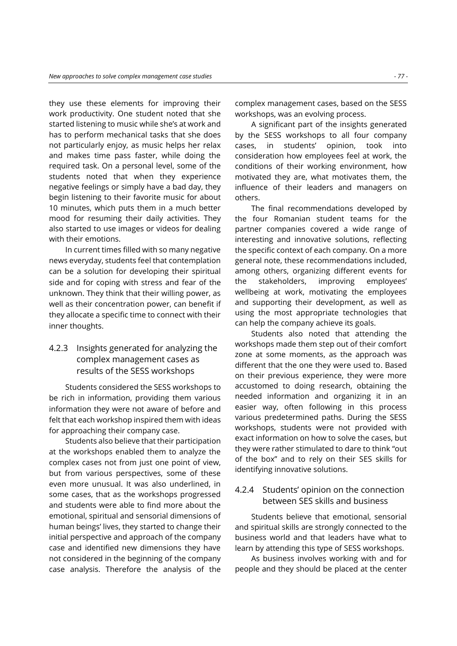they use these elements for improving their work productivity. One student noted that she started listening to music while she's at work and has to perform mechanical tasks that she does not particularly enjoy, as music helps her relax and makes time pass faster, while doing the required task. On a personal level, some of the students noted that when they experience negative feelings or simply have a bad day, they begin listening to their favorite music for about 10 minutes, which puts them in a much better mood for resuming their daily activities. They also started to use images or videos for dealing with their emotions.

In current times filled with so many negative news everyday, students feel that contemplation can be a solution for developing their spiritual side and for coping with stress and fear of the unknown. They think that their willing power, as well as their concentration power, can benefit if they allocate a specific time to connect with their inner thoughts.

# 4.2.3 Insights generated for analyzing the complex management cases as results of the SESS workshops

Students considered the SESS workshops to be rich in information, providing them various information they were not aware of before and felt that each workshop inspired them with ideas for approaching their company case.

Students also believe that their participation at the workshops enabled them to analyze the complex cases not from just one point of view, but from various perspectives, some of these even more unusual. It was also underlined, in some cases, that as the workshops progressed and students were able to find more about the emotional, spiritual and sensorial dimensions of human beings' lives, they started to change their initial perspective and approach of the company case and identified new dimensions they have not considered in the beginning of the company case analysis. Therefore the analysis of the complex management cases, based on the SESS workshops, was an evolving process.

A significant part of the insights generated by the SESS workshops to all four company cases, in students' opinion, took into consideration how employees feel at work, the conditions of their working environment, how motivated they are, what motivates them, the influence of their leaders and managers on others.

The final recommendations developed by the four Romanian student teams for the partner companies covered a wide range of interesting and innovative solutions, reflecting the specific context of each company. On a more general note, these recommendations included, among others, organizing different events for the stakeholders, improving employees' wellbeing at work, motivating the employees and supporting their development, as well as using the most appropriate technologies that can help the company achieve its goals.

Students also noted that attending the workshops made them step out of their comfort zone at some moments, as the approach was different that the one they were used to. Based on their previous experience, they were more accustomed to doing research, obtaining the needed information and organizing it in an easier way, often following in this process various predetermined paths. During the SESS workshops, students were not provided with exact information on how to solve the cases, but they were rather stimulated to dare to think "out of the box" and to rely on their SES skills for identifying innovative solutions.

### 4.2.4 Students' opinion on the connection between SES skills and business

Students believe that emotional, sensorial and spiritual skills are strongly connected to the business world and that leaders have what to learn by attending this type of SESS workshops.

As business involves working with and for people and they should be placed at the center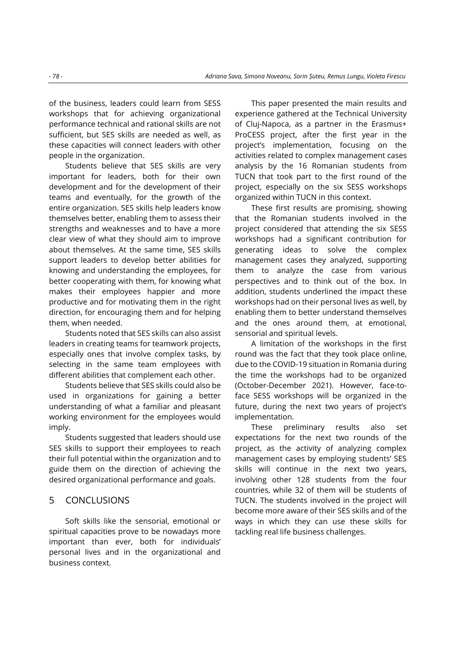of the business, leaders could learn from SESS workshops that for achieving organizational performance technical and rational skills are not sufficient, but SES skills are needed as well, as these capacities will connect leaders with other people in the organization.

Students believe that SES skills are very important for leaders, both for their own development and for the development of their teams and eventually, for the growth of the entire organization. SES skills help leaders know themselves better, enabling them to assess their strengths and weaknesses and to have a more clear view of what they should aim to improve about themselves. At the same time, SES skills support leaders to develop better abilities for knowing and understanding the employees, for better cooperating with them, for knowing what makes their employees happier and more productive and for motivating them in the right direction, for encouraging them and for helping them, when needed.

Students noted that SES skills can also assist leaders in creating teams for teamwork projects, especially ones that involve complex tasks, by selecting in the same team employees with different abilities that complement each other.

Students believe that SES skills could also be used in organizations for gaining a better understanding of what a familiar and pleasant working environment for the employees would imply.

Students suggested that leaders should use SES skills to support their employees to reach their full potential within the organization and to guide them on the direction of achieving the desired organizational performance and goals.

### 5 CONCLUSIONS

Soft skills like the sensorial, emotional or spiritual capacities prove to be nowadays more important than ever, both for individuals' personal lives and in the organizational and business context.

This paper presented the main results and experience gathered at the Technical University of Cluj-Napoca, as a partner in the Erasmus+ ProCESS project, after the first year in the project's implementation, focusing on the activities related to complex management cases analysis by the 16 Romanian students from TUCN that took part to the first round of the project, especially on the six SESS workshops organized within TUCN in this context.

These first results are promising, showing that the Romanian students involved in the project considered that attending the six SESS workshops had a significant contribution for generating ideas to solve the complex management cases they analyzed, supporting them to analyze the case from various perspectives and to think out of the box. In addition, students underlined the impact these workshops had on their personal lives as well, by enabling them to better understand themselves and the ones around them, at emotional, sensorial and spiritual levels.

A limitation of the workshops in the first round was the fact that they took place online, due to the COVID-19 situation in Romania during the time the workshops had to be organized (October-December 2021). However, face-toface SESS workshops will be organized in the future, during the next two years of project's implementation.

These preliminary results also set expectations for the next two rounds of the project, as the activity of analyzing complex management cases by employing students' SES skills will continue in the next two years, involving other 128 students from the four countries, while 32 of them will be students of TUCN. The students involved in the project will become more aware of their SES skills and of the ways in which they can use these skills for tackling real life business challenges.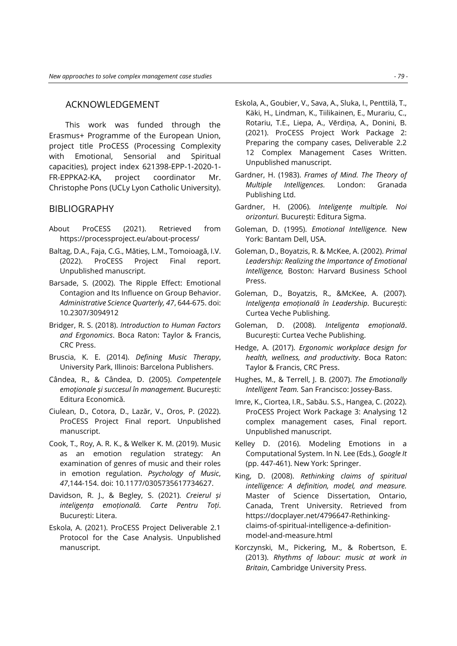#### ACKNOWLEDGEMENT

This work was funded through the Erasmus+ Programme of the European Union, project title ProCESS (Processing Complexity with Emotional, Sensorial and Spiritual capacities), project index 621398-EPP-1-2020-1- FR-EPPKA2-KA, project coordinator Mr. Christophe Pons (UCLy Lyon Catholic University).

### BIBLIOGRAPHY

- About ProCESS (2021). Retrieved from https://processproject.eu/about-process/
- Baltag, D.A., Faja, C.G., Mătieș, L.M., Tomoioagă, I.V. (2022). ProCESS Project Final report. Unpublished manuscript.
- Barsade, S. (2002). The Ripple Effect: Emotional Contagion and Its Influence on Group Behavior. *Administrative Science Quarterly, 47*, 644-675. doi: 10.2307/3094912
- Bridger, R. S. (2018). *Introduction to Human Factors and Ergonomics*. Boca Raton: Taylor & Francis, CRC Press.
- Bruscia, K. E. (2014). *Defining Music Therapy*, University Park, Illinois: Barcelona Publishers.
- Cândea, R., & Cândea, D. (2005). *Competenţele emoţionale şi succesul în management.* București: Editura Economică.
- Ciulean, D., Cotora, D., Lazăr, V., Oros, P. (2022). ProCESS Project Final report. Unpublished manuscript.
- Cook, T., Roy, A. R. K., & Welker K. M. (2019). Music as an emotion regulation strategy: An examination of genres of music and their roles in emotion regulation. *Psychology of Music*, *47*,144-154. doi: 10.1177/0305735617734627.
- Davidson, R. J., & Begley, S. (2021). *Creierul și inteligența emoțională. Carte Pentru Toți*. București: Litera.
- Eskola, A. (2021). ProCESS Project Deliverable 2.1 Protocol for the Case Analysis. Unpublished manuscript.
- Eskola, A., Goubier, V., Sava, A., Sluka, I., Penttilä, T., Käki, H., Lindman, K., Tiilikainen, E., Murariu, C., Rotariu, T.E., Liepa, A., Vērdiņa, A., Donini, B. (2021). ProCESS Project Work Package 2: Preparing the company cases, Deliverable 2.2 12 Complex Management Cases Written. Unpublished manuscript.
- Gardner, H. (1983). *Frames of Mind. The Theory of Multiple Intelligences.* London: Granada Publishing Ltd.
- Gardner, H. (2006). *Inteligențe multiple. Noi orizonturi.* București: Editura Sigma.
- Goleman, D. (1995). *Emotional Intelligence.* New York: Bantam Dell, USA.
- Goleman, D., Boyatzis, R. & McKee, A. (2002). *Primal Leadership: Realizing the Importance of Emotional Intelligence,* Boston: Harvard Business School Press.
- Goleman, D., Boyatzis, R., &McKee, A. (2007). *Inteligența emoțională în Leadership.* București: Curtea Veche Publishing.
- Goleman, D. (2008). *Inteligenta emoțională*. București: Curtea Veche Publishing.
- Hedge, A. (2017). *Ergonomic workplace design for health, wellness, and productivity*. Boca Raton: Taylor & Francis, CRC Press.
- Hughes, M., & Terrell, J. B. (2007). *The Emotionally Intelligent Team.* San Francisco: Jossey-Bass.
- Imre, K., Ciortea, I.R., Sabău. S.S., Hangea, C. (2022). ProCESS Project Work Package 3: Analysing 12 complex management cases, Final report. Unpublished manuscript.
- Kelley D. (2016). Modeling Emotions in a Computational System. In N. Lee (Eds.), *Google It*  (pp. 447-461). New York: Springer.
- King, D. (2008). *Rethinking claims of spiritual intelligence: A definition, model, and measure.* Master of Science Dissertation, Ontario, Canada, Trent University. Retrieved from https://docplayer.net/4796647-Rethinkingclaims-of-spiritual-intelligence-a-definitionmodel-and-measure.html
- Korczynski, M., Pickering, M., & Robertson, E. (2013). *Rhythms of labour: music at work in Britain*, Cambridge University Press.